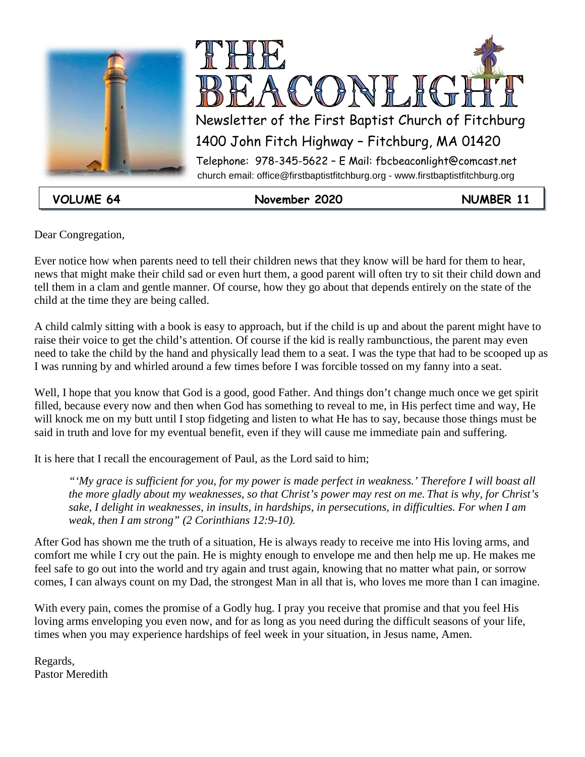



**VOLUME 64 November 2020 NUMBER 11**

Dear Congregation,

Ever notice how when parents need to tell their children news that they know will be hard for them to hear, news that might make their child sad or even hurt them, a good parent will often try to sit their child down and tell them in a clam and gentle manner. Of course, how they go about that depends entirely on the state of the child at the time they are being called.

A child calmly sitting with a book is easy to approach, but if the child is up and about the parent might have to raise their voice to get the child's attention. Of course if the kid is really rambunctious, the parent may even need to take the child by the hand and physically lead them to a seat. I was the type that had to be scooped up as I was running by and whirled around a few times before I was forcible tossed on my fanny into a seat.

Well, I hope that you know that God is a good, good Father. And things don't change much once we get spirit filled, because every now and then when God has something to reveal to me, in His perfect time and way, He will knock me on my butt until I stop fidgeting and listen to what He has to say, because those things must be said in truth and love for my eventual benefit, even if they will cause me immediate pain and suffering.

It is here that I recall the encouragement of Paul, as the Lord said to him;

*"'My grace is sufficient for you, for my power is made perfect in weakness.' Therefore I will boast all the more gladly about my weaknesses, so that Christ's power may rest on me. That is why, for Christ's sake, I delight in weaknesses, in insults, in hardships, in persecutions, in difficulties. For when I am weak, then I am strong" (2 Corinthians 12:9-10).*

After God has shown me the truth of a situation, He is always ready to receive me into His loving arms, and comfort me while I cry out the pain. He is mighty enough to envelope me and then help me up. He makes me feel safe to go out into the world and try again and trust again, knowing that no matter what pain, or sorrow comes, I can always count on my Dad, the strongest Man in all that is, who loves me more than I can imagine.

With every pain, comes the promise of a Godly hug. I pray you receive that promise and that you feel His loving arms enveloping you even now, and for as long as you need during the difficult seasons of your life, times when you may experience hardships of feel week in your situation, in Jesus name, Amen.

Regards, Pastor Meredith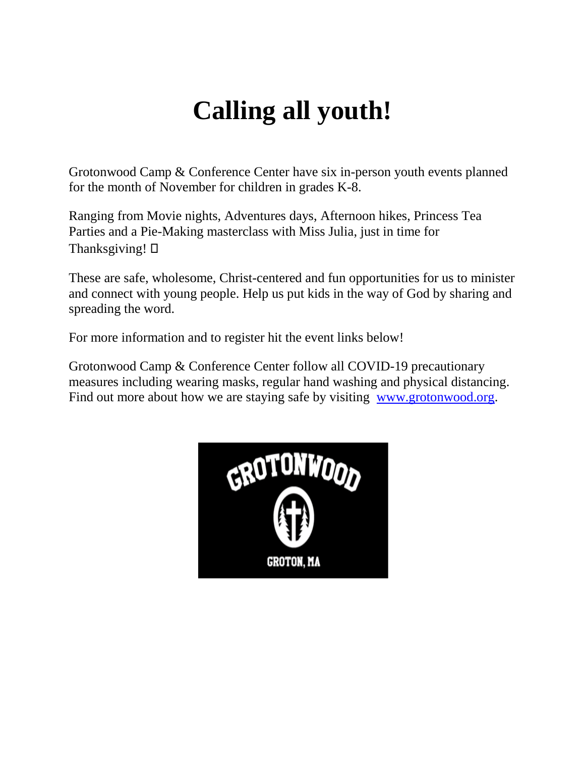# **Calling all youth!**

Grotonwood Camp & Conference Center have six in-person youth events planned for the month of November for children in grades K-8.

Ranging from Movie nights, Adventures days, Afternoon hikes, Princess Tea Parties and a Pie-Making masterclass with Miss Julia, just in time for Thanksgiving!  $\Box$ 

These are safe, wholesome, Christ-centered and fun opportunities for us to minister and connect with young people. Help us put kids in the way of God by sharing and spreading the word.

For more information and to register hit the event links below!

Grotonwood Camp & Conference Center follow all COVID-19 precautionary measures including wearing masks, regular hand washing and physical distancing. Find out more about how we are staying safe by visiting [www.grotonwood.org.](http://www.grotonwood.org/)

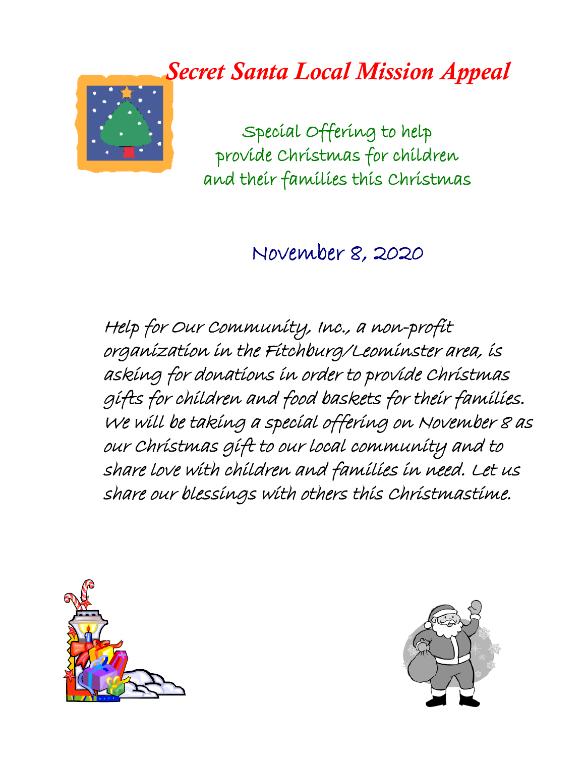# *Secret Santa Local Mission Appeal*



Special Offering to help provide Christmas for children and their families this Christmas

#### November 8, 2020

Help for Our Community, Inc., a non-profit organization in the Fitchburg/Leominster area, is asking for donations in order to provide Christmas gifts for children and food baskets for their families. We will be taking a special offering on November 8 as our Christmas gift to our local community and to share love with children and families in need. Let us share our blessings with others this Christmastime.



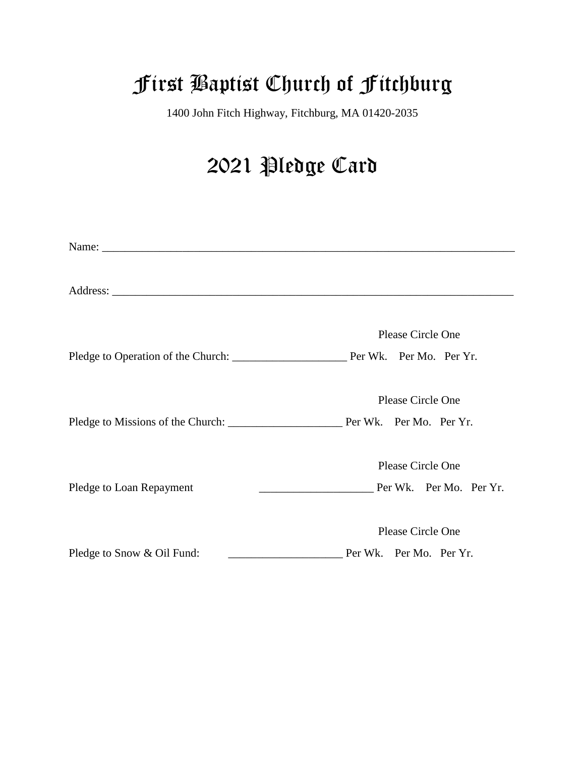# First Baptist Church of Fitchburg

1400 John Fitch Highway, Fitchburg, MA 01420-2035

## 2021 Pledge Card

|                            | Please Circle One                                              |
|----------------------------|----------------------------------------------------------------|
|                            |                                                                |
|                            | Please Circle One                                              |
|                            |                                                                |
|                            | Please Circle One                                              |
| Pledge to Loan Repayment   | <u>_______________________________</u> Per Wk. Per Mo. Per Yr. |
|                            | Please Circle One                                              |
| Pledge to Snow & Oil Fund: | Per Wk. Per Mo. Per Yr.                                        |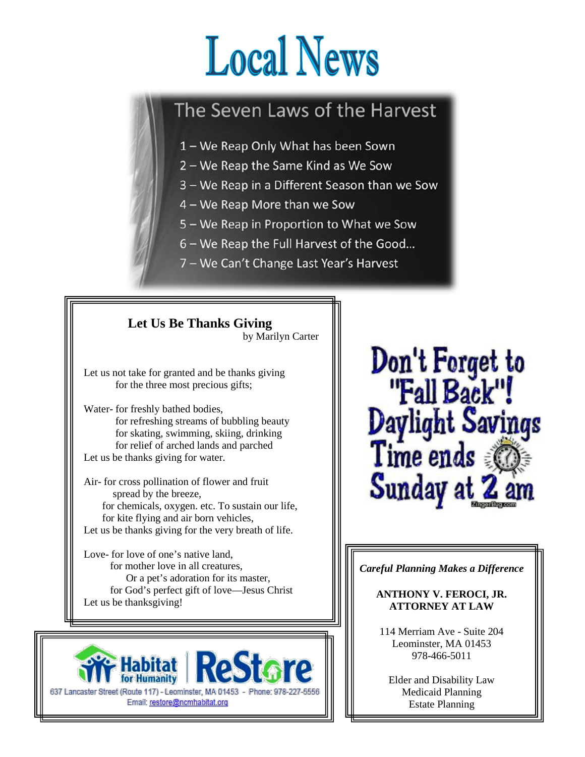# **Local News**

#### The Seven Laws of the Harvest

- 1 We Reap Only What has been Sown
- 2 We Reap the Same Kind as We Sow
- 3 We Reap in a Different Season than we Sow
- 4 We Reap More than we Sow
- 5 We Reap in Proportion to What we Sow
- 6 We Reap the Full Harvest of the Good...
- 7 We Can't Change Last Year's Harvest





Don't Forget to<br>"Fall Back"! Daylight Savings Time ends Sunday a

*Careful Planning Makes a Difference*

#### **ANTHONY V. FEROCI, JR. ATTORNEY AT LAW**

114 Merriam Ave - Suite 204 Leominster, MA 01453 978-466-5011

Elder and Disability Law Medicaid Planning Estate Planning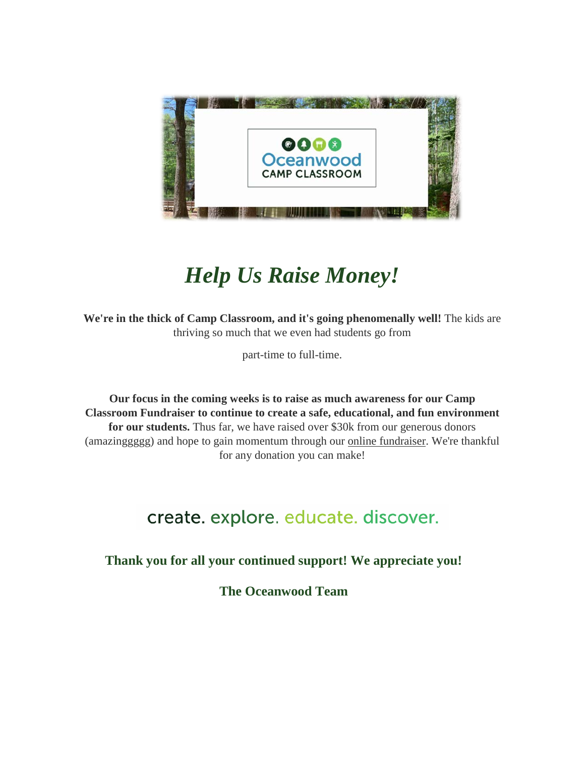

# *Help Us Raise Money!*

**We're in the thick of Camp Classroom, and it's going phenomenally well!** The kids are thriving so much that we even had students go from

part-time to full-time.

**Our focus in the coming weeks is to raise as much awareness for our Camp Classroom Fundraiser to continue to create a safe, educational, and fun environment for our students.** Thus far, we have raised over \$30k from our generous donors (amazinggggg) and hope to gain momentum through our [online fundraiser.](http://r20.rs6.net/tn.jsp?f=001e0TPwdsy3LSFhCMpCaWlCj_qc0XZoR3yKRmh0ug-hZNd9pWS6Nkml9BVGRxn9mcGr2B78OijpQ4Nn1e84dah70L1mC0A93zOtr7LEUQXT09pqPf67c9ZnMf1hCWebwjCQiM82Vs1OjX8XrSnmoY5O11DkpCUS4nuy91wBa0Po671irxQ0YnC4nBmjjQlNRblXNf7bWR6DfVH2S34GEl8SovzYiPlkHYZ&c=0Tuaq9-3L8Lx9H2S2hFldb8_Z0mV06tDigTuAx7KPkQAV-_6a_hiQw==&ch=chmVXcQ2EOXI62uKWaTirmLNC3EFJ2-IZmEjegkrMcY2vkLm1p-FAg==) We're thankful for any donation you can make!

#### create. explore. educate. discover.

**Thank you for all your continued support! We appreciate you!**

**The Oceanwood Team**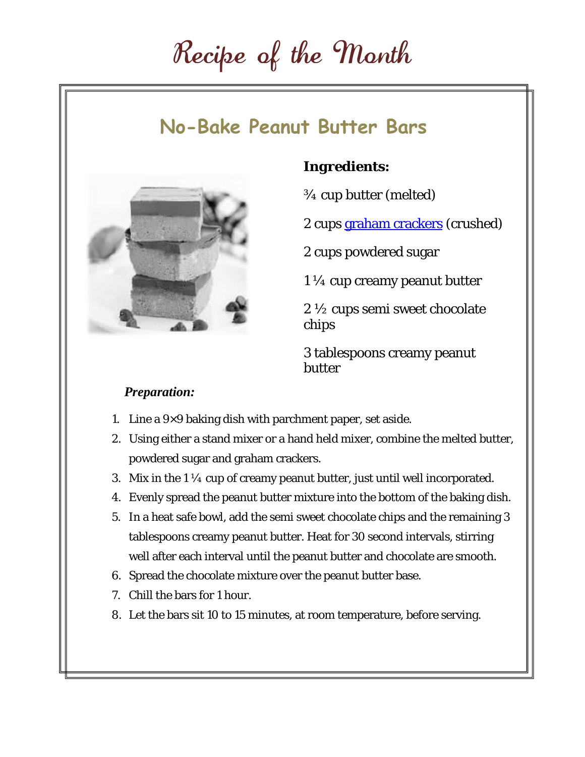# Recipe of the Month

#### **No-Bake Peanut Butter Bars**



#### *Ingredients:*

¾ cup butter (melted)

2 cups [graham crackers](https://amzn.to/2GSvzp0) (crushed)

2 cups powdered sugar

1 ¼ cup creamy peanut butter

2 ½ cups semi sweet chocolate chips

3 tablespoons creamy peanut butter

#### *Preparation:*

- 1. Line a  $9\times9$  baking dish with parchment paper, set aside.
- 2. Using either a stand mixer or a hand held mixer, combine the melted butter, powdered sugar and graham crackers.
- 3. Mix in the  $1\frac{1}{4}$  cup of creamy peanut butter, just until well incorporated.
- 4. Evenly spread the peanut butter mixture into the bottom of the baking dish.
- 5. In a heat safe bowl, add the semi sweet chocolate chips and the remaining 3 tablespoons creamy peanut butter. Heat for 30 second intervals, stirring well after each interval until the peanut butter and chocolate are smooth.
- 6. Spread the chocolate mixture over the peanut butter base.
- 7. Chill the bars for 1 hour.
- 8. Let the bars sit 10 to 15 minutes, at room temperature, before serving.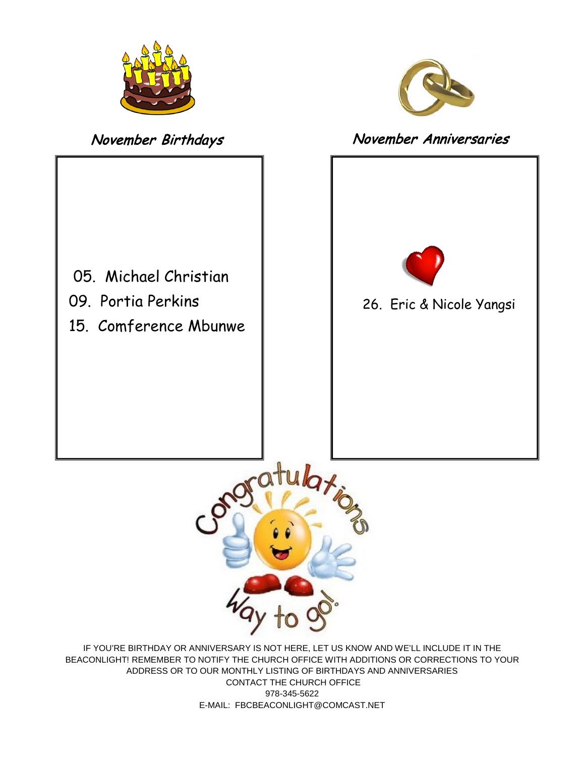



#### November Birthdays November Anniversaries





IF YOU'RE BIRTHDAY OR ANNIVERSARY IS NOT HERE, LET US KNOW AND WE'LL INCLUDE IT IN THE BEACONLIGHT! REMEMBER TO NOTIFY THE CHURCH OFFICE WITH ADDITIONS OR CORRECTIONS TO YOUR ADDRESS OR TO OUR MONTHLY LISTING OF BIRTHDAYS AND ANNIVERSARIES CONTACT THE CHURCH OFFICE 978-345-5622 E-MAIL: FBCBEACONLIGHT@COMCAST.NET